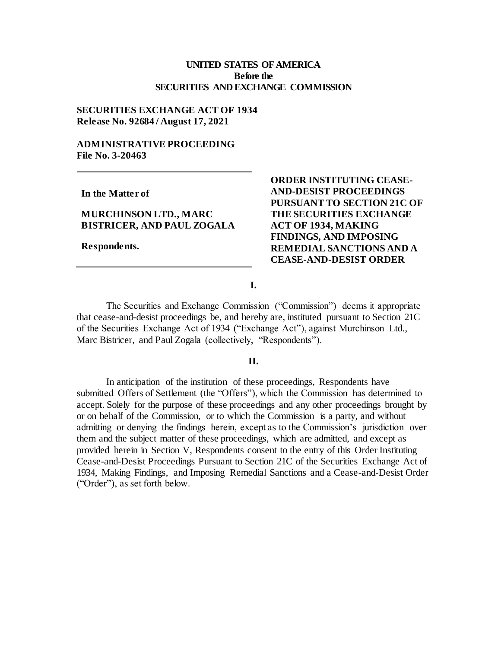# **UNITED STATES OF AMERICA Before the SECURITIES AND EXCHANGE COMMISSION**

# **SECURITIES EXCHANGE ACT OF 1934 Release No. 92684 / August 17, 2021**

# **ADMINISTRATIVE PROCEEDING File No. 3-20463**

**In the Matter of**

## **MURCHINSON LTD., MARC BISTRICER, AND PAUL ZOGALA**

**Respondents.**

**ORDER INSTITUTING CEASE-AND-DESIST PROCEEDINGS PURSUANT TO SECTION 21C OF THE SECURITIES EXCHANGE ACT OF 1934, MAKING FINDINGS, AND IMPOSING REMEDIAL SANCTIONS AND A CEASE-AND-DESIST ORDER**

**I.**

The Securities and Exchange Commission ("Commission") deems it appropriate that cease-and-desist proceedings be, and hereby are, instituted pursuant to Section 21C of the Securities Exchange Act of 1934 ("Exchange Act"), against Murchinson Ltd., Marc Bistricer, and Paul Zogala (collectively, "Respondents").

## **II.**

In anticipation of the institution of these proceedings, Respondents have submitted Offers of Settlement (the "Offers"), which the Commission has determined to accept. Solely for the purpose of these proceedings and any other proceedings brought by or on behalf of the Commission, or to which the Commission is a party, and without admitting or denying the findings herein, except as to the Commission's jurisdiction over them and the subject matter of these proceedings, which are admitted, and except as provided herein in Section V, Respondents consent to the entry of this Order Instituting Cease-and-Desist Proceedings Pursuant to Section 21C of the Securities Exchange Act of 1934, Making Findings, and Imposing Remedial Sanctions and a Cease-and-Desist Order ("Order"), as set forth below.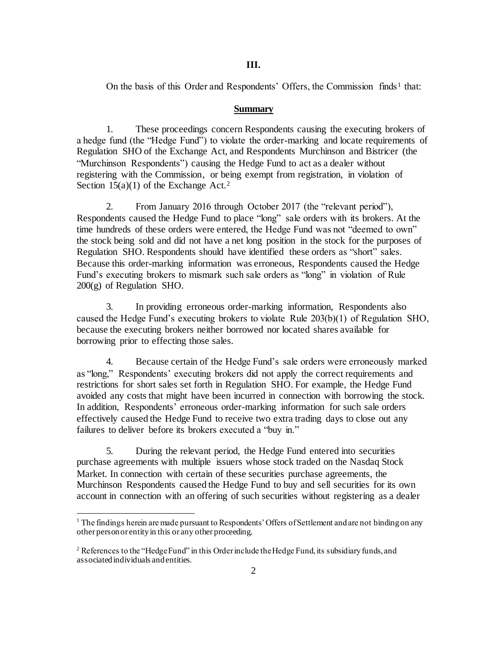#### **III.**

On the basis of this Order and Respondents' Offers, the Commission finds<sup>1</sup> that:

### **Summary**

1. These proceedings concern Respondents causing the executing brokers of a hedge fund (the "Hedge Fund") to violate the order-marking and locate requirements of Regulation SHO of the Exchange Act, and Respondents Murchinson and Bistricer (the "Murchinson Respondents") causing the Hedge Fund to act as a dealer without registering with the Commission, or being exempt from registration, in violation of Section  $15(a)(1)$  of the Exchange Act.<sup>2</sup>

2. From January 2016 through October 2017 (the "relevant period"), Respondents caused the Hedge Fund to place "long" sale orders with its brokers. At the time hundreds of these orders were entered, the Hedge Fund was not "deemed to own" the stock being sold and did not have a net long position in the stock for the purposes of Regulation SHO. Respondents should have identified these orders as "short" sales. Because this order-marking information was erroneous, Respondents caused the Hedge Fund's executing brokers to mismark such sale orders as "long" in violation of Rule 200(g) of Regulation SHO.

3. In providing erroneous order-marking information, Respondents also caused the Hedge Fund's executing brokers to violate Rule 203(b)(1) of Regulation SHO, because the executing brokers neither borrowed nor located shares available for borrowing prior to effecting those sales.

4. Because certain of the Hedge Fund's sale orders were erroneously marked as "long," Respondents' executing brokers did not apply the correct requirements and restrictions for short sales set forth in Regulation SHO. For example, the Hedge Fund avoided any costs that might have been incurred in connection with borrowing the stock. In addition, Respondents' erroneous order-marking information for such sale orders effectively caused the Hedge Fund to receive two extra trading days to close out any failures to deliver before its brokers executed a "buy in."

5. During the relevant period, the Hedge Fund entered into securities purchase agreements with multiple issuers whose stock traded on the Nasdaq Stock Market. In connection with certain of these securities purchase agreements, the Murchinson Respondents caused the Hedge Fund to buy and sell securities for its own account in connection with an offering of such securities without registering as a dealer

.

 $1$  The findings herein are made pursuant to Respondents' Offers of Settlement and are not binding on any other person or entity in this or any other proceeding.

<sup>&</sup>lt;sup>2</sup> References to the "Hedge Fund" in this Order include the Hedge Fund, its subsidiary funds, and associated individuals and entities.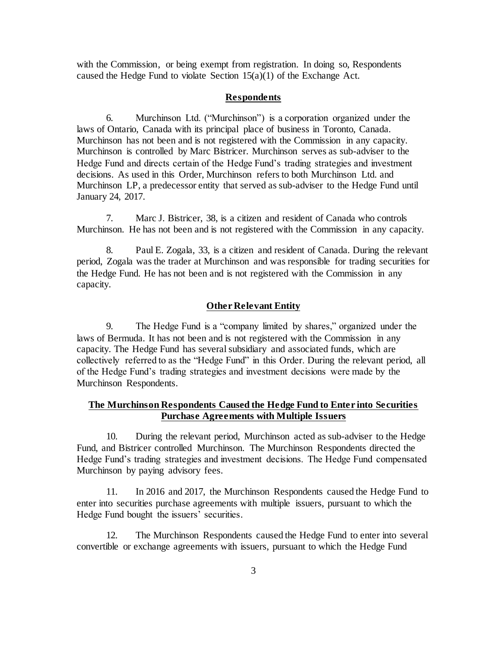with the Commission, or being exempt from registration. In doing so, Respondents caused the Hedge Fund to violate Section  $15(a)(1)$  of the Exchange Act.

### **Respondents**

6. Murchinson Ltd. ("Murchinson") is a corporation organized under the laws of Ontario, Canada with its principal place of business in Toronto, Canada. Murchinson has not been and is not registered with the Commission in any capacity. Murchinson is controlled by Marc Bistricer. Murchinson serves as sub-adviser to the Hedge Fund and directs certain of the Hedge Fund's trading strategies and investment decisions. As used in this Order, Murchinson refers to both Murchinson Ltd. and Murchinson LP, a predecessor entity that served as sub-adviser to the Hedge Fund until January 24, 2017.

7. Marc J. Bistricer, 38, is a citizen and resident of Canada who controls Murchinson. He has not been and is not registered with the Commission in any capacity.

8. Paul E. Zogala, 33, is a citizen and resident of Canada. During the relevant period, Zogala was the trader at Murchinson and was responsible for trading securities for the Hedge Fund. He has not been and is not registered with the Commission in any capacity.

### **Other Relevant Entity**

9. The Hedge Fund is a "company limited by shares," organized under the laws of Bermuda. It has not been and is not registered with the Commission in any capacity. The Hedge Fund has several subsidiary and associated funds, which are collectively referred to as the "Hedge Fund" in this Order. During the relevant period, all of the Hedge Fund's trading strategies and investment decisions were made by the Murchinson Respondents.

# **The Murchinson Respondents Caused the Hedge Fund to Enter into Securities Purchase Agreements with Multiple Issuers**

10. During the relevant period, Murchinson acted as sub-adviser to the Hedge Fund, and Bistricer controlled Murchinson. The Murchinson Respondents directed the Hedge Fund's trading strategies and investment decisions. The Hedge Fund compensated Murchinson by paying advisory fees.

11. In 2016 and 2017, the Murchinson Respondents caused the Hedge Fund to enter into securities purchase agreements with multiple issuers, pursuant to which the Hedge Fund bought the issuers' securities.

12. The Murchinson Respondents caused the Hedge Fund to enter into several convertible or exchange agreements with issuers, pursuant to which the Hedge Fund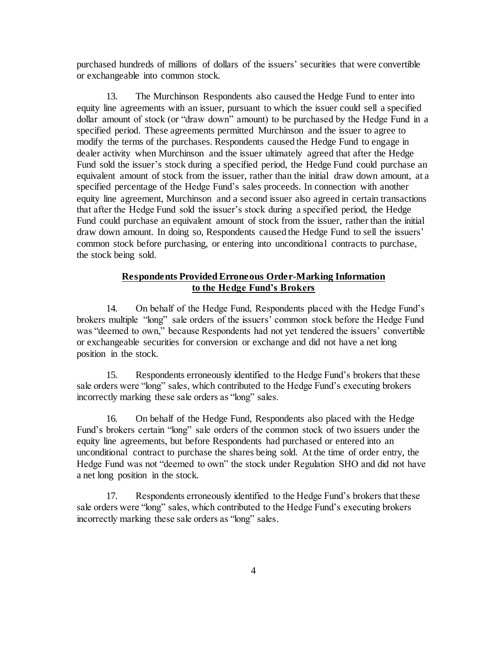purchased hundreds of millions of dollars of the issuers' securities that were convertible or exchangeable into common stock.

13. The Murchinson Respondents also caused the Hedge Fund to enter into equity line agreements with an issuer, pursuant to which the issuer could sell a specified dollar amount of stock (or "draw down" amount) to be purchased by the Hedge Fund in a specified period. These agreements permitted Murchinson and the issuer to agree to modify the terms of the purchases. Respondents caused the Hedge Fund to engage in dealer activity when Murchinson and the issuer ultimately agreed that after the Hedge Fund sold the issuer's stock during a specified period, the Hedge Fund could purchase an equivalent amount of stock from the issuer, rather than the initial draw down amount, at a specified percentage of the Hedge Fund's sales proceeds. In connection with another equity line agreement, Murchinson and a second issuer also agreed in certain transactions that after the Hedge Fund sold the issuer's stock during a specified period, the Hedge Fund could purchase an equivalent amount of stock from the issuer, rather than the initial draw down amount. In doing so, Respondents caused the Hedge Fund to sell the issuers' common stock before purchasing, or entering into unconditional contracts to purchase, the stock being sold.

# **Respondents Provided Erroneous Order-Marking Information to the Hedge Fund's Brokers**

14. On behalf of the Hedge Fund, Respondents placed with the Hedge Fund's brokers multiple "long" sale orders of the issuers' common stock before the Hedge Fund was "deemed to own," because Respondents had not yet tendered the issuers' convertible or exchangeable securities for conversion or exchange and did not have a net long position in the stock.

15. Respondents erroneously identified to the Hedge Fund's brokers that these sale orders were "long" sales, which contributed to the Hedge Fund's executing brokers incorrectly marking these sale orders as "long" sales.

16. On behalf of the Hedge Fund, Respondents also placed with the Hedge Fund's brokers certain "long" sale orders of the common stock of two issuers under the equity line agreements, but before Respondents had purchased or entered into an unconditional contract to purchase the shares being sold. At the time of order entry, the Hedge Fund was not "deemed to own" the stock under Regulation SHO and did not have a net long position in the stock.

17. Respondents erroneously identified to the Hedge Fund's brokers that these sale orders were "long" sales, which contributed to the Hedge Fund's executing brokers incorrectly marking these sale orders as "long" sales.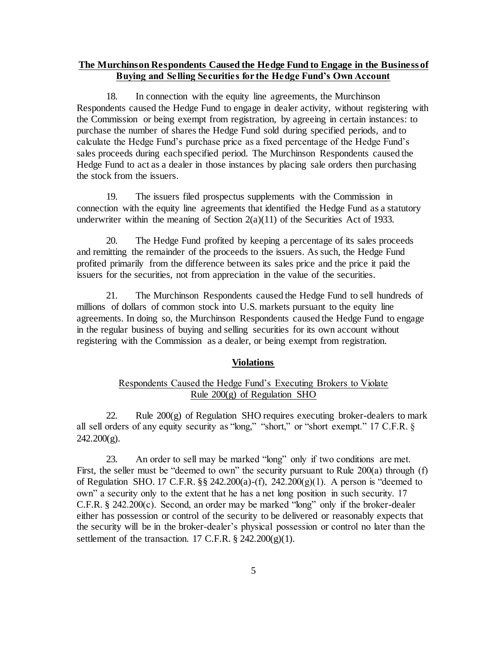# **The Murchinson Respondents Caused the Hedge Fund to Engage in the Business of Buying and Selling Securities for the Hedge Fund's Own Account**

18. In connection with the equity line agreements, the Murchinson Respondents caused the Hedge Fund to engage in dealer activity, without registering with the Commission or being exempt from registration, by agreeing in certain instances: to purchase the number of shares the Hedge Fund sold during specified periods, and to calculate the Hedge Fund's purchase price as a fixed percentage of the Hedge Fund's sales proceeds during each specified period. The Murchinson Respondents caused the Hedge Fund to act as a dealer in those instances by placing sale orders then purchasing the stock from the issuers.

19. The issuers filed prospectus supplements with the Commission in connection with the equity line agreements that identified the Hedge Fund as a statutory underwriter within the meaning of Section  $2(a)(11)$  of the Securities Act of 1933.

20. The Hedge Fund profited by keeping a percentage of its sales proceeds and remitting the remainder of the proceeds to the issuers. As such, the Hedge Fund profited primarily from the difference between its sales price and the price it paid the issuers for the securities, not from appreciation in the value of the securities.

21. The Murchinson Respondents caused the Hedge Fund to sell hundreds of millions of dollars of common stock into U.S. markets pursuant to the equity line agreements. In doing so, the Murchinson Respondents caused the Hedge Fund to engage in the regular business of buying and selling securities for its own account without registering with the Commission as a dealer, or being exempt from registration.

### **Violations**

# Respondents Caused the Hedge Fund's Executing Brokers to Violate Rule 200(g) of Regulation SHO

22. Rule  $200(g)$  of Regulation SHO requires executing broker-dealers to mark all sell orders of any equity security as "long," "short," or "short exempt." 17 C.F.R. §  $242.200(g)$ .

23. An order to sell may be marked "long" only if two conditions are met. First, the seller must be "deemed to own" the security pursuant to Rule 200(a) through (f) of Regulation SHO. 17 C.F.R. §§ 242.200(a)-(f), 242.200(g)(1). A person is "deemed to own" a security only to the extent that he has a net long position in such security. 17 C.F.R. § 242.200(c). Second, an order may be marked "long" only if the broker-dealer either has possession or control of the security to be delivered or reasonably expects that the security will be in the broker-dealer's physical possession or control no later than the settlement of the transaction. 17 C.F.R.  $\S$  242.200(g)(1).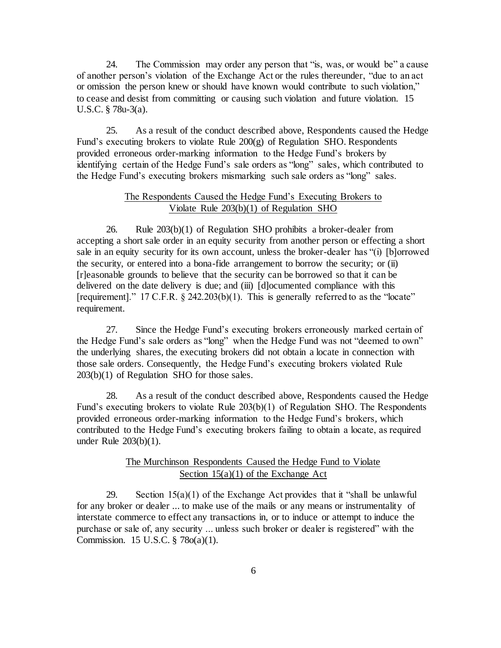24. The Commission may order any person that "is, was, or would be" a cause of another person's violation of the Exchange Act or the rules thereunder, "due to an act or omission the person knew or should have known would contribute to such violation," to cease and desist from committing or causing such violation and future violation. 15 U.S.C. § 78u-3(a).

25. As a result of the conduct described above, Respondents caused the Hedge Fund's executing brokers to violate Rule 200(g) of Regulation SHO. Respondents provided erroneous order-marking information to the Hedge Fund's brokers by identifying certain of the Hedge Fund's sale orders as "long" sales, which contributed to the Hedge Fund's executing brokers mismarking such sale orders as "long" sales.

# The Respondents Caused the Hedge Fund's Executing Brokers to Violate Rule 203(b)(1) of Regulation SHO

26. Rule 203(b)(1) of Regulation SHO prohibits a broker-dealer from accepting a short sale order in an equity security from another person or effecting a short sale in an equity security for its own account, unless the broker-dealer has "(i) [b]orrowed the security, or entered into a bona-fide arrangement to borrow the security; or (ii) [r]easonable grounds to believe that the security can be borrowed so that it can be delivered on the date delivery is due; and (iii) [d]ocumented compliance with this [requirement]." 17 C.F.R. § 242.203(b)(1). This is generally referred to as the "locate" requirement.

27. Since the Hedge Fund's executing brokers erroneously marked certain of the Hedge Fund's sale orders as "long" when the Hedge Fund was not "deemed to own" the underlying shares, the executing brokers did not obtain a locate in connection with those sale orders. Consequently, the Hedge Fund's executing brokers violated Rule 203(b)(1) of Regulation SHO for those sales.

28. As a result of the conduct described above, Respondents caused the Hedge Fund's executing brokers to violate Rule 203(b)(1) of Regulation SHO. The Respondents provided erroneous order-marking information to the Hedge Fund's brokers, which contributed to the Hedge Fund's executing brokers failing to obtain a locate, as required under Rule 203(b)(1).

# The Murchinson Respondents Caused the Hedge Fund to Violate Section 15(a)(1) of the Exchange Act

29. Section  $15(a)(1)$  of the Exchange Act provides that it "shall be unlawful for any broker or dealer ... to make use of the mails or any means or instrumentality of interstate commerce to effect any transactions in, or to induce or attempt to induce the purchase or sale of, any security ... unless such broker or dealer is registered" with the Commission. 15 U.S.C. § 78o(a)(1).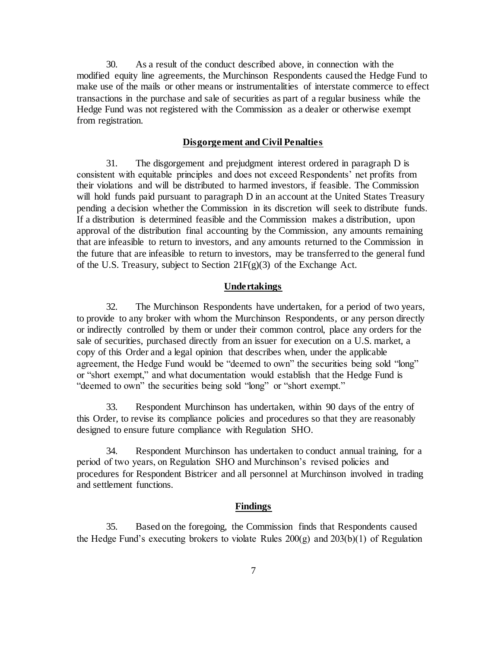30. As a result of the conduct described above, in connection with the modified equity line agreements, the Murchinson Respondents caused the Hedge Fund to make use of the mails or other means or instrumentalities of interstate commerce to effect transactions in the purchase and sale of securities as part of a regular business while the Hedge Fund was not registered with the Commission as a dealer or otherwise exempt from registration.

#### **Disgorgement and Civil Penalties**

31. The disgorgement and prejudgment interest ordered in paragraph D is consistent with equitable principles and does not exceed Respondents' net profits from their violations and will be distributed to harmed investors, if feasible. The Commission will hold funds paid pursuant to paragraph D in an account at the United States Treasury pending a decision whether the Commission in its discretion will seek to distribute funds. If a distribution is determined feasible and the Commission makes a distribution, upon approval of the distribution final accounting by the Commission, any amounts remaining that are infeasible to return to investors, and any amounts returned to the Commission in the future that are infeasible to return to investors, may be transferred to the general fund of the U.S. Treasury, subject to Section 21F(g)(3) of the Exchange Act.

## **Undertakings**

32. The Murchinson Respondents have undertaken, for a period of two years, to provide to any broker with whom the Murchinson Respondents, or any person directly or indirectly controlled by them or under their common control, place any orders for the sale of securities, purchased directly from an issuer for execution on a U.S. market, a copy of this Order and a legal opinion that describes when, under the applicable agreement, the Hedge Fund would be "deemed to own" the securities being sold "long" or "short exempt," and what documentation would establish that the Hedge Fund is "deemed to own" the securities being sold "long" or "short exempt."

33. Respondent Murchinson has undertaken, within 90 days of the entry of this Order, to revise its compliance policies and procedures so that they are reasonably designed to ensure future compliance with Regulation SHO.

34. Respondent Murchinson has undertaken to conduct annual training, for a period of two years, on Regulation SHO and Murchinson's revised policies and procedures for Respondent Bistricer and all personnel at Murchinson involved in trading and settlement functions.

#### **Findings**

35. Based on the foregoing, the Commission finds that Respondents caused the Hedge Fund's executing brokers to violate Rules 200(g) and 203(b)(1) of Regulation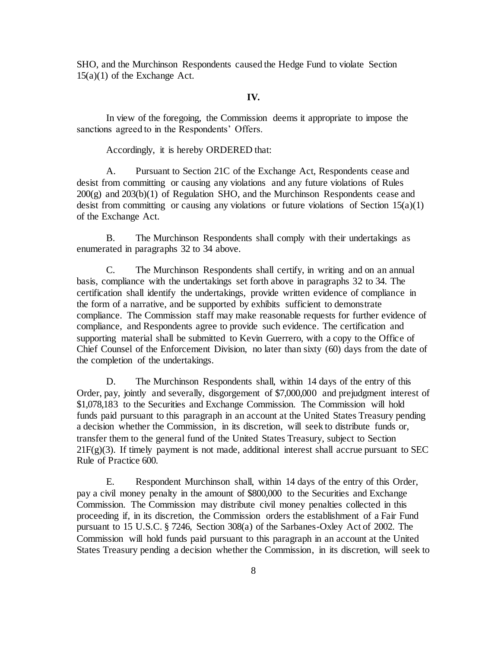SHO, and the Murchinson Respondents caused the Hedge Fund to violate Section 15(a)(1) of the Exchange Act.

## **IV.**

In view of the foregoing, the Commission deems it appropriate to impose the sanctions agreed to in the Respondents' Offers.

Accordingly, it is hereby ORDERED that:

A. Pursuant to Section 21C of the Exchange Act, Respondents cease and desist from committing or causing any violations and any future violations of Rules  $200(g)$  and  $203(b)(1)$  of Regulation SHO, and the Murchinson Respondents cease and desist from committing or causing any violations or future violations of Section 15(a)(1) of the Exchange Act.

B. The Murchinson Respondents shall comply with their undertakings as enumerated in paragraphs 32 to 34 above.

C. The Murchinson Respondents shall certify, in writing and on an annual basis, compliance with the undertakings set forth above in paragraphs 32 to 34. The certification shall identify the undertakings, provide written evidence of compliance in the form of a narrative, and be supported by exhibits sufficient to demonstrate compliance. The Commission staff may make reasonable requests for further evidence of compliance, and Respondents agree to provide such evidence. The certification and supporting material shall be submitted to Kevin Guerrero, with a copy to the Office of Chief Counsel of the Enforcement Division, no later than sixty (60) days from the date of the completion of the undertakings.

D. The Murchinson Respondents shall, within 14 days of the entry of this Order, pay, jointly and severally, disgorgement of \$7,000,000 and prejudgment interest of \$1,078,183 to the Securities and Exchange Commission. The Commission will hold funds paid pursuant to this paragraph in an account at the United States Treasury pending a decision whether the Commission, in its discretion, will seek to distribute funds or, transfer them to the general fund of the United States Treasury, subject to Section  $21F(g)(3)$ . If timely payment is not made, additional interest shall accrue pursuant to SEC Rule of Practice 600.

E. Respondent Murchinson shall, within 14 days of the entry of this Order, pay a civil money penalty in the amount of \$800,000 to the Securities and Exchange Commission. The Commission may distribute civil money penalties collected in this proceeding if, in its discretion, the Commission orders the establishment of a Fair Fund pursuant to 15 U.S.C. § 7246, Section 308(a) of the Sarbanes-Oxley Act of 2002. The Commission will hold funds paid pursuant to this paragraph in an account at the United States Treasury pending a decision whether the Commission, in its discretion, will seek to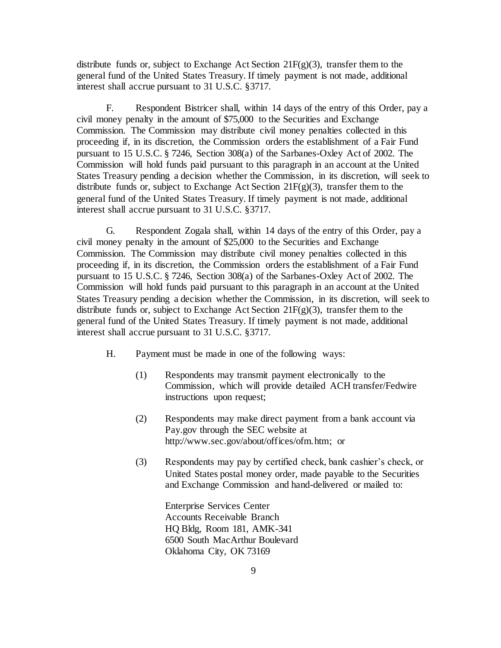distribute funds or, subject to Exchange Act Section  $21F(g)(3)$ , transfer them to the general fund of the United States Treasury. If timely payment is not made, additional interest shall accrue pursuant to 31 U.S.C. §3717.

F. Respondent Bistricer shall, within 14 days of the entry of this Order, pay a civil money penalty in the amount of \$75,000 to the Securities and Exchange Commission. The Commission may distribute civil money penalties collected in this proceeding if, in its discretion, the Commission orders the establishment of a Fair Fund pursuant to 15 U.S.C. § 7246, Section 308(a) of the Sarbanes-Oxley Act of 2002. The Commission will hold funds paid pursuant to this paragraph in an account at the United States Treasury pending a decision whether the Commission, in its discretion, will seek to distribute funds or, subject to Exchange Act Section  $21F(g)(3)$ , transfer them to the general fund of the United States Treasury. If timely payment is not made, additional interest shall accrue pursuant to 31 U.S.C. §3717.

G. Respondent Zogala shall, within 14 days of the entry of this Order, pay a civil money penalty in the amount of \$25,000 to the Securities and Exchange Commission. The Commission may distribute civil money penalties collected in this proceeding if, in its discretion, the Commission orders the establishment of a Fair Fund pursuant to 15 U.S.C. § 7246, Section 308(a) of the Sarbanes-Oxley Act of 2002. The Commission will hold funds paid pursuant to this paragraph in an account at the United States Treasury pending a decision whether the Commission, in its discretion, will seek to distribute funds or, subject to Exchange Act Section  $21F(g)(3)$ , transfer them to the general fund of the United States Treasury. If timely payment is not made, additional interest shall accrue pursuant to 31 U.S.C. §3717.

- H. Payment must be made in one of the following ways:
	- (1) Respondents may transmit payment electronically to the Commission, which will provide detailed ACH transfer/Fedwire instructions upon request;
	- (2) Respondents may make direct payment from a bank account via Pay.gov through the SEC website at http://www.sec.gov/about/offices/ofm.htm; or
	- (3) Respondents may pay by certified check, bank cashier's check, or United States postal money order, made payable to the Securities and Exchange Commission and hand-delivered or mailed to:

Enterprise Services Center Accounts Receivable Branch HQ Bldg, Room 181, AMK-341 6500 South MacArthur Boulevard Oklahoma City, OK 73169